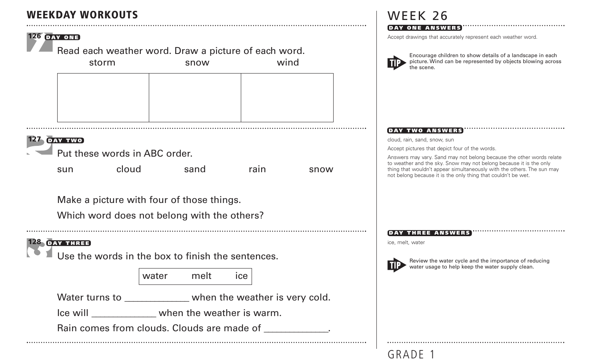## **WEEKDAY WORKOUTS**



Which word does not belong with the others?

## **128 DAY THREE**

Use the words in the box to finish the sentences.

water melt ice

Water turns to \_\_\_\_\_\_\_\_\_\_\_\_\_ when the weather is very cold.

Ice will \_\_\_\_\_\_\_\_\_\_\_\_\_\_ when the weather is warm.

Rain comes from clouds. Clouds are made of  $\Box$ 

**<sup>50</sup>** GRADE 1

## WEEK 26

#### **DAY ONE ANSWERS**

Accept drawings that accurately represent each weather word.



Encourage children to show details of a landscape in each picture. Wind can be represented by objects blowing across the scene.

#### **DAY TWO ANSWERS**

cloud, rain, sand, snow, sun

Accept pictures that depict four of the words.

Answers may vary. Sand may not belong because the other words relate to weather and the sky. Snow may not belong because it is the only thing that wouldn't appear simultaneously with the others. The sun may not belong because it is the only thing that couldn't be wet.

#### **DAY THREE ANSWERS**

ice, melt, water



Review the water cycle and the importance of reducing water usage to help keep the water supply clean.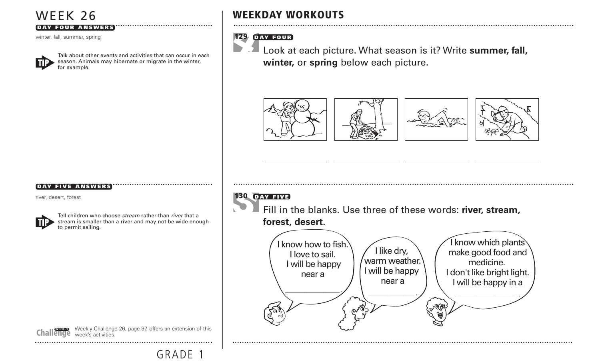## WEEK 26

#### **DAY FOUR ANSWERS**

winter, fall, summer, spring



Talk about other events and activities that can occur in each season. Animals may hibernate or migrate in the winter, for example.

## **WEEKDAY WORKOUTS**

## **129 DAY FOUR**

h,

Look at each picture. What season is it? Write **summer, fall, winter,** or **spring** below each picture.



#### **DAY FIVE ANSWERS**

river, desert, forest

to permit sailing.

Tell children who choose stream rather than river that a stream is smaller than a river and may not be wide enough



GRADE 1

### **130 DAY FIVE**

Fill in the blanks. Use three of these words: **river, stream, forest, desert.**